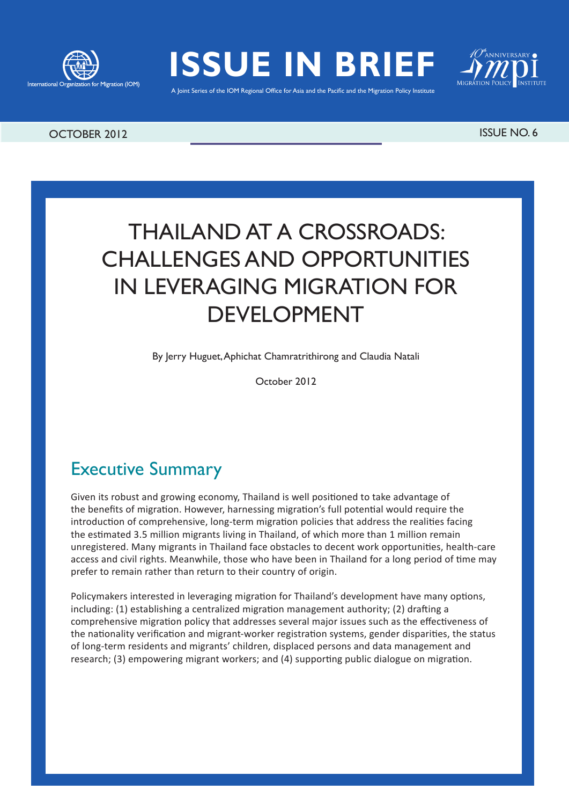



A Joint Series of the IOM Regional Office for Asia and the Pacific and the Migration Policy Institute



#### OCTOBER 2012 ISSUE NO. 6

# THAILAND AT A CROSSROADS: CHALLENGES AND OPPORTUNITIES IN LEVERAGING MIGRATION FOR DEVELOPMENT

By Jerry Huguet, Aphichat Chamratrithirong and Claudia Natali

October 2012

# Executive Summary

Given its robust and growing economy, Thailand is well positioned to take advantage of the benefits of migration. However, harnessing migration's full potential would require the introduction of comprehensive, long-term migration policies that address the realities facing the estimated 3.5 million migrants living in Thailand, of which more than 1 million remain unregistered. Many migrants in Thailand face obstacles to decent work opportunities, health-care access and civil rights. Meanwhile, those who have been in Thailand for a long period of time may prefer to remain rather than return to their country of origin.

Policymakers interested in leveraging migration for Thailand's development have many options, including: (1) establishing a centralized migration management authority; (2) drafting a comprehensive migration policy that addresses several major issues such as the effectiveness of the nationality verification and migrant-worker registration systems, gender disparities, the status of long-term residents and migrants' children, displaced persons and data management and research; (3) empowering migrant workers; and (4) supporting public dialogue on migration.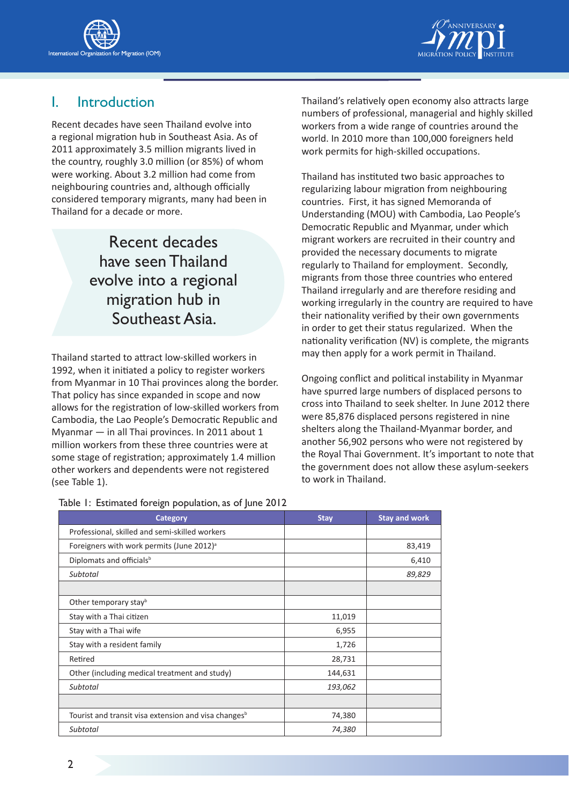



## I. Introduction

Recent decades have seen Thailand evolve into a regional migration hub in Southeast Asia. As of 2011 approximately 3.5 million migrants lived in the country, roughly 3.0 million (or 85%) of whom were working. About 3.2 million had come from neighbouring countries and, although officially considered temporary migrants, many had been in Thailand for a decade or more.

> Recent decades have seen Thailand evolve into a regional migration hub in Southeast Asia.

Thailand started to attract low-skilled workers in 1992, when it initiated a policy to register workers from Myanmar in 10 Thai provinces along the border. That policy has since expanded in scope and now allows for the registration of low-skilled workers from Cambodia, the Lao People's Democratic Republic and Myanmar — in all Thai provinces. In 2011 about 1 million workers from these three countries were at some stage of registration; approximately 1.4 million other workers and dependents were not registered (see Table 1).

Table 1: Estimated foreign population, as of June 2012

Thailand's relatively open economy also attracts large numbers of professional, managerial and highly skilled workers from a wide range of countries around the world. In 2010 more than 100,000 foreigners held work permits for high-skilled occupations.

Thailand has instituted two basic approaches to regularizing labour migration from neighbouring countries. First, it has signed Memoranda of Understanding (MOU) with Cambodia, Lao People's Democratic Republic and Myanmar, under which migrant workers are recruited in their country and provided the necessary documents to migrate regularly to Thailand for employment. Secondly, migrants from those three countries who entered Thailand irregularly and are therefore residing and working irregularly in the country are required to have their nationality verified by their own governments in order to get their status regularized. When the nationality verification (NV) is complete, the migrants may then apply for a work permit in Thailand.

Ongoing conflict and political instability in Myanmar have spurred large numbers of displaced persons to cross into Thailand to seek shelter. In June 2012 there were 85,876 displaced persons registered in nine shelters along the Thailand-Myanmar border, and another 56,902 persons who were not registered by the Royal Thai Government. It's important to note that the government does not allow these asylum-seekers to work in Thailand.

| Category                                                         | <b>Stay</b> | <b>Stay and work</b> |
|------------------------------------------------------------------|-------------|----------------------|
| Professional, skilled and semi-skilled workers                   |             |                      |
| Foreigners with work permits (June 2012) <sup>a</sup>            |             | 83,419               |
| Diplomats and officials <sup>b</sup>                             |             | 6,410                |
| Subtotal                                                         |             | 89,829               |
|                                                                  |             |                      |
| Other temporary stay <sup>b</sup>                                |             |                      |
| Stay with a Thai citizen                                         | 11,019      |                      |
| Stay with a Thai wife                                            | 6,955       |                      |
| Stay with a resident family                                      | 1,726       |                      |
| Retired                                                          | 28,731      |                      |
| Other (including medical treatment and study)                    | 144,631     |                      |
| Subtotal                                                         | 193,062     |                      |
|                                                                  |             |                      |
| Tourist and transit visa extension and visa changes <sup>b</sup> | 74,380      |                      |
| Subtotal                                                         | 74,380      |                      |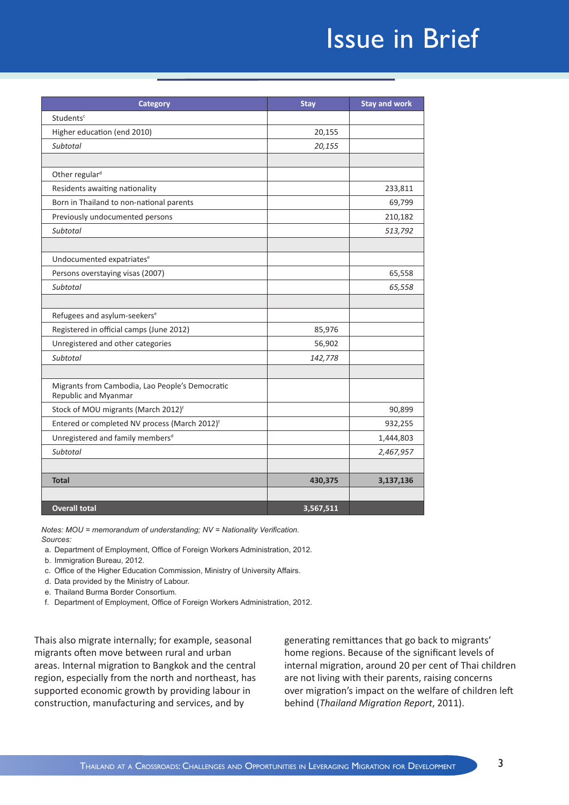# Issue in Brief

| <b>Category</b>                                                         | <b>Stay</b> | <b>Stay and work</b> |
|-------------------------------------------------------------------------|-------------|----------------------|
| Students <sup>c</sup>                                                   |             |                      |
| Higher education (end 2010)                                             | 20,155      |                      |
| <b>Subtotal</b>                                                         | 20,155      |                      |
|                                                                         |             |                      |
| Other regular <sup>d</sup>                                              |             |                      |
| Residents awaiting nationality                                          |             | 233,811              |
| Born in Thailand to non-national parents                                |             | 69,799               |
| Previously undocumented persons                                         |             | 210,182              |
| Subtotal                                                                |             | 513,792              |
|                                                                         |             |                      |
| Undocumented expatriates <sup>e</sup>                                   |             |                      |
| Persons overstaying visas (2007)                                        |             | 65,558               |
| Subtotal                                                                |             | 65,558               |
|                                                                         |             |                      |
| Refugees and asylum-seekers <sup>e</sup>                                |             |                      |
| Registered in official camps (June 2012)                                | 85,976      |                      |
| Unregistered and other categories                                       | 56,902      |                      |
| <b>Subtotal</b>                                                         | 142,778     |                      |
|                                                                         |             |                      |
| Migrants from Cambodia, Lao People's Democratic<br>Republic and Myanmar |             |                      |
| Stock of MOU migrants (March 2012) <sup>f</sup>                         |             | 90,899               |
| Entered or completed NV process (March 2012) <sup>f</sup>               |             | 932,255              |
| Unregistered and family members <sup>d</sup>                            |             | 1,444,803            |
| Subtotal                                                                |             | 2,467,957            |
|                                                                         |             |                      |
| <b>Total</b>                                                            | 430,375     | 3,137,136            |
|                                                                         |             |                      |
| <b>Overall total</b>                                                    | 3,567,511   |                      |

*Notes: MOU = memorandum of understanding; NV = Nationality Verification. Sources:*

- a. Department of Employment, Office of Foreign Workers Administration, 2012.
- b. Immigration Bureau, 2012.
- c. Office of the Higher Education Commission, Ministry of University Affairs.
- d. Data provided by the Ministry of Labour.
- e. Thailand Burma Border Consortium.
- f. Department of Employment, Office of Foreign Workers Administration, 2012.

Thais also migrate internally; for example, seasonal migrants often move between rural and urban areas. Internal migration to Bangkok and the central region, especially from the north and northeast, has supported economic growth by providing labour in construction, manufacturing and services, and by

generating remittances that go back to migrants' home regions. Because of the significant levels of internal migration, around 20 per cent of Thai children are not living with their parents, raising concerns over migration's impact on the welfare of children left behind (*Thailand Migration Report*, 2011).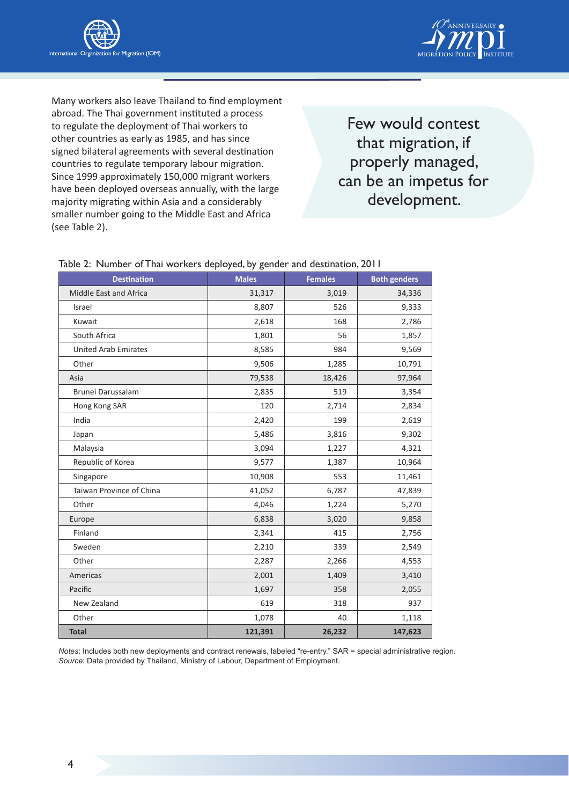



Many workers also leave Thailand to find employment abroad. The Thai government instituted a process to regulate the deployment of Thai workers to other countries as early as 1985, and has since signed bilateral agreements with several destination countries to regulate temporary labour migration. Since 1999 approximately 150,000 migrant workers have been deployed overseas annually, with the large majority migrating within Asia and a considerably smaller number going to the Middle East and Africa (see Table 2).

Few would contest that migration, if properly managed, can be an impetus for development.

| <b>Destination</b>          | <b>Males</b> | <b>Females</b> | <b>Both genders</b> |
|-----------------------------|--------------|----------------|---------------------|
| Middle East and Africa      | 31,317       | 3,019          | 34,336              |
| Israel                      | 8,807        | 526            | 9,333               |
| Kuwait                      | 2,618        | 168            | 2,786               |
| South Africa                | 1,801        | 56             | 1,857               |
| <b>United Arab Emirates</b> | 8,585        | 984            | 9,569               |
| Other                       | 9,506        | 1,285          | 10,791              |
| Asia                        | 79,538       | 18,426         | 97,964              |
| Brunei Darussalam           | 2,835        | 519            | 3,354               |
| Hong Kong SAR               | 120          | 2,714          | 2,834               |
| India                       | 2,420        | 199            | 2,619               |
| Japan                       | 5,486        | 3,816          | 9,302               |
| Malaysia                    | 3,094        | 1,227          | 4,321               |
| Republic of Korea           | 9,577        | 1,387          | 10,964              |
| Singapore                   | 10,908       | 553            | 11,461              |
| Taiwan Province of China    | 41,052       | 6,787          | 47,839              |
| Other                       | 4,046        | 1,224          | 5,270               |
| Europe                      | 6,838        | 3,020          | 9,858               |
| Finland                     | 2,341        | 415            | 2,756               |
| Sweden                      | 2,210        | 339            | 2,549               |
| Other                       | 2,287        | 2,266          | 4,553               |
| Americas                    | 2,001        | 1,409          | 3,410               |
| Pacific                     | 1,697        | 358            | 2,055               |
| New Zealand                 | 619          | 318            | 937                 |
| Other                       | 1,078        | 40             | 1,118               |
| <b>Total</b>                | 121,391      | 26,232         | 147,623             |

#### Table 2: Number of Thai workers deployed, by gender and destination, 2011

*Notes*: Includes both new deployments and contract renewals, labeled "re-entry." SAR = special administrative region. *Source*: Data provided by Thailand, Ministry of Labour, Department of Employment.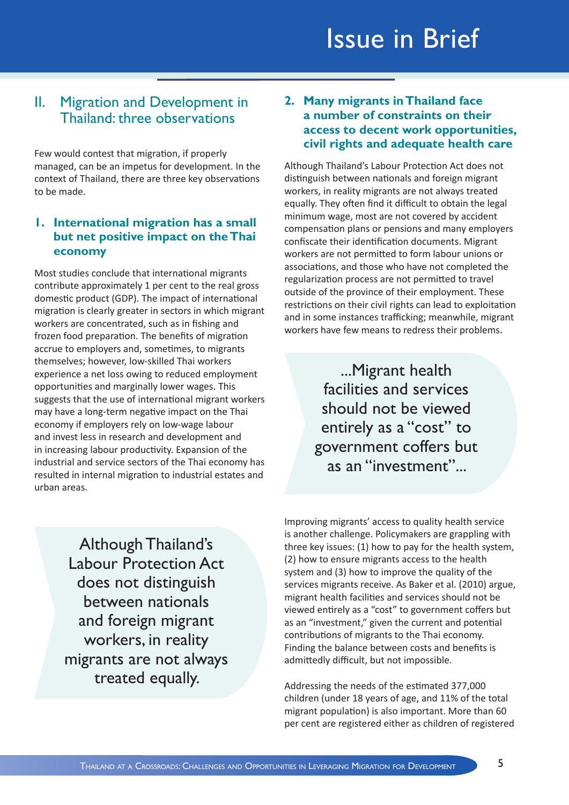# Issue in Brief

## II. Migration and Development in Thailand: three observations

Few would contest that migration, if properly managed, can be an impetus for development. In the context of Thailand, there are three key observations to be made.

#### **1. International migration has a small but net positive impact on the Thai economy**

Most studies conclude that international migrants contribute approximately 1 per cent to the real gross domestic product (GDP). The impact of international migration is clearly greater in sectors in which migrant workers are concentrated, such as in fishing and frozen food preparation. The benefits of migration accrue to employers and, sometimes, to migrants themselves; however, low-skilled Thai workers experience a net loss owing to reduced employment opportunities and marginally lower wages. This suggests that the use of international migrant workers may have a long-term negative impact on the Thai economy if employers rely on low-wage labour and invest less in research and development and in increasing labour productivity. Expansion of the industrial and service sectors of the Thai economy has resulted in internal migration to industrial estates and urban areas.

**2. Many migrants in Thailand face a number of constraints on their access to decent work opportunities, civil rights and adequate health care**

Although Thailand's Labour Protection Act does not distinguish between nationals and foreign migrant workers, in reality migrants are not always treated equally. They often find it difficult to obtain the legal minimum wage, most are not covered by accident compensation plans or pensions and many employers confiscate their identification documents. Migrant workers are not permitted to form labour unions or associations, and those who have not completed the regularization process are not permitted to travel outside of the province of their employment. These restrictions on their civil rights can lead to exploitation and in some instances trafficking; meanwhile, migrant workers have few means to redress their problems.

> ...Migrant health facilities and services should not be viewed entirely as a "cost" to government coffers but as an "investment"...

Although Thailand's Labour Protection Act does not distinguish between nationals and foreign migrant workers, in reality migrants are not always treated equally.

Improving migrants' access to quality health service is another challenge. Policymakers are grappling with three key issues: (1) how to pay for the health system, (2) how to ensure migrants access to the health system and (3) how to improve the quality of the services migrants receive. As Baker et al. (2010) argue, migrant health facilities and services should not be viewed entirely as a "cost" to government coffers but as an "investment," given the current and potential contributions of migrants to the Thai economy. Finding the balance between costs and benefits is admittedly difficult, but not impossible.

Addressing the needs of the estimated 377,000 children (under 18 years of age, and 11% of the total migrant population) is also important. More than 60 per cent are registered either as children of registered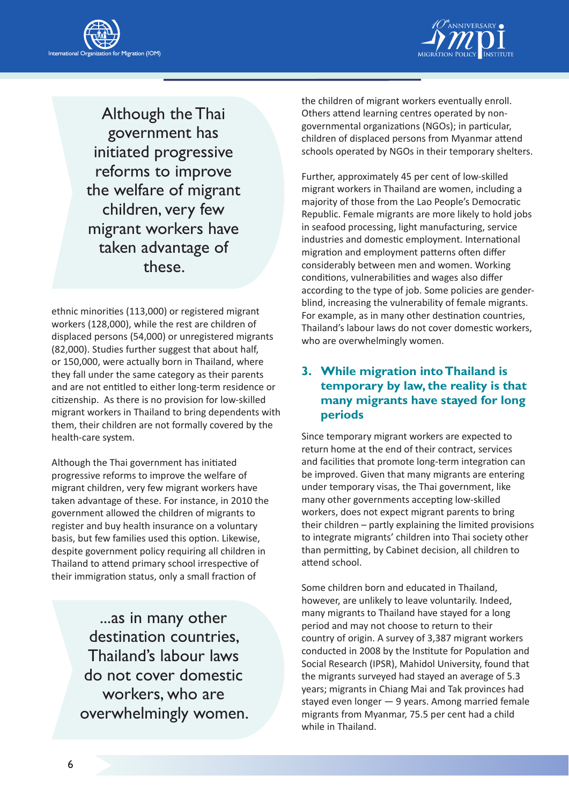



Although the Thai government has initiated progressive reforms to improve the welfare of migrant children, very few migrant workers have taken advantage of these.

ethnic minorities (113,000) or registered migrant workers (128,000), while the rest are children of displaced persons (54,000) or unregistered migrants (82,000). Studies further suggest that about half, or 150,000, were actually born in Thailand, where they fall under the same category as their parents and are not entitled to either long-term residence or citizenship. As there is no provision for low-skilled migrant workers in Thailand to bring dependents with them, their children are not formally covered by the health-care system.

Although the Thai government has initiated progressive reforms to improve the welfare of migrant children, very few migrant workers have taken advantage of these. For instance, in 2010 the government allowed the children of migrants to register and buy health insurance on a voluntary basis, but few families used this option. Likewise, despite government policy requiring all children in Thailand to attend primary school irrespective of their immigration status, only a small fraction of

> ...as in many other destination countries, Thailand's labour laws do not cover domestic workers, who are overwhelmingly women.

the children of migrant workers eventually enroll. Others attend learning centres operated by nongovernmental organizations (NGOs); in particular, children of displaced persons from Myanmar attend schools operated by NGOs in their temporary shelters.

Further, approximately 45 per cent of low-skilled migrant workers in Thailand are women, including a majority of those from the Lao People's Democratic Republic. Female migrants are more likely to hold jobs in seafood processing, light manufacturing, service industries and domestic employment. International migration and employment patterns often differ considerably between men and women. Working conditions, vulnerabilities and wages also differ according to the type of job. Some policies are genderblind, increasing the vulnerability of female migrants. For example, as in many other destination countries, Thailand's labour laws do not cover domestic workers, who are overwhelmingly women.

#### **3. While migration into Thailand is temporary by law, the reality is that many migrants have stayed for long periods**

Since temporary migrant workers are expected to return home at the end of their contract, services and facilities that promote long-term integration can be improved. Given that many migrants are entering under temporary visas, the Thai government, like many other governments accepting low-skilled workers, does not expect migrant parents to bring their children – partly explaining the limited provisions to integrate migrants' children into Thai society other than permitting, by Cabinet decision, all children to attend school.

Some children born and educated in Thailand, however, are unlikely to leave voluntarily. Indeed, many migrants to Thailand have stayed for a long period and may not choose to return to their country of origin. A survey of 3,387 migrant workers conducted in 2008 by the Institute for Population and Social Research (IPSR), Mahidol University, found that the migrants surveyed had stayed an average of 5.3 years; migrants in Chiang Mai and Tak provinces had stayed even longer — 9 years. Among married female migrants from Myanmar, 75.5 per cent had a child while in Thailand.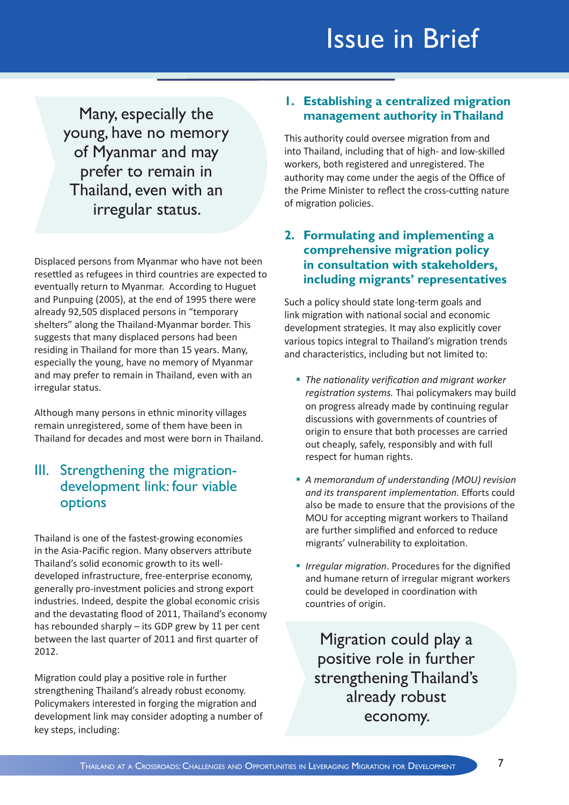# Issue in Brief

Many, especially the young, have no memory of Myanmar and may prefer to remain in Thailand, even with an irregular status.

Displaced persons from Myanmar who have not been resettled as refugees in third countries are expected to eventually return to Myanmar. According to Huguet and Punpuing (2005), at the end of 1995 there were already 92,505 displaced persons in "temporary shelters" along the Thailand-Myanmar border. This suggests that many displaced persons had been residing in Thailand for more than 15 years. Many, especially the young, have no memory of Myanmar and may prefer to remain in Thailand, even with an irregular status.

Although many persons in ethnic minority villages remain unregistered, some of them have been in Thailand for decades and most were born in Thailand.

### III. Strengthening the migrationdevelopment link: four viable options

Thailand is one of the fastest-growing economies in the Asia-Pacific region. Many observers attribute Thailand's solid economic growth to its welldeveloped infrastructure, free-enterprise economy, generally pro-investment policies and strong export industries. Indeed, despite the global economic crisis and the devastating flood of 2011, Thailand's economy has rebounded sharply – its GDP grew by 11 per cent between the last quarter of 2011 and first quarter of 2012.

Migration could play a positive role in further strengthening Thailand's already robust economy. Policymakers interested in forging the migration and development link may consider adopting a number of key steps, including:

#### **1. Establishing a centralized migration management authority in Thailand**

This authority could oversee migration from and into Thailand, including that of high- and low-skilled workers, both registered and unregistered. The authority may come under the aegis of the Office of the Prime Minister to reflect the cross-cutting nature of migration policies.

#### **2. Formulating and implementing a comprehensive migration policy in consultation with stakeholders, including migrants' representatives**

Such a policy should state long-term goals and link migration with national social and economic development strategies. It may also explicitly cover various topics integral to Thailand's migration trends and characteristics, including but not limited to:

- *The nationality verification and migrant worker registration systems.* Thai policymakers may build on progress already made by continuing regular discussions with governments of countries of origin to ensure that both processes are carried out cheaply, safely, responsibly and with full respect for human rights.
- *A memorandum of understanding (MOU) revision and its transparent implementation.* Efforts could also be made to ensure that the provisions of the MOU for accepting migrant workers to Thailand are further simplified and enforced to reduce migrants' vulnerability to exploitation.
- *Irregular migration*. Procedures for the dignified and humane return of irregular migrant workers could be developed in coordination with countries of origin.

Migration could play a positive role in further strengthening Thailand's already robust economy.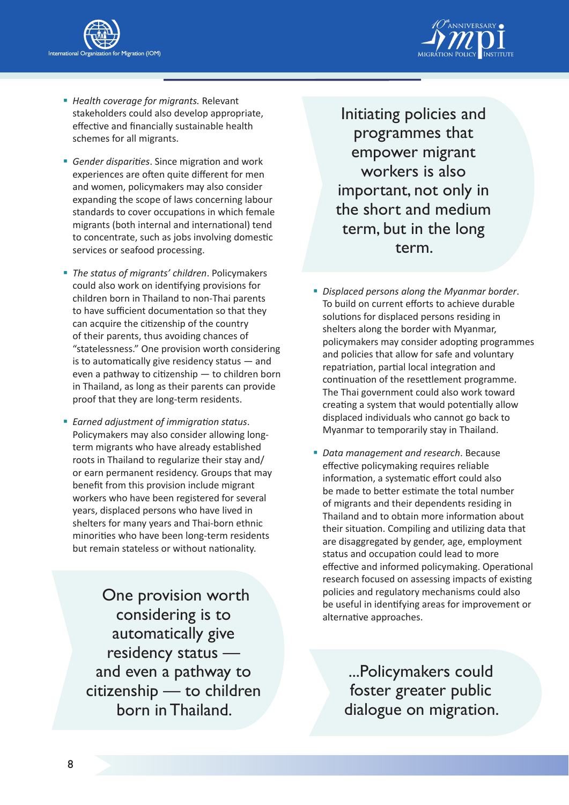



- *Health coverage for migrants.* Relevant stakeholders could also develop appropriate, effective and financially sustainable health schemes for all migrants.
- *Gender disparities*. Since migration and work experiences are often quite different for men and women, policymakers may also consider expanding the scope of laws concerning labour standards to cover occupations in which female migrants (both internal and international) tend to concentrate, such as jobs involving domestic services or seafood processing.
- *The status of migrants' children*. Policymakers could also work on identifying provisions for children born in Thailand to non-Thai parents to have sufficient documentation so that they can acquire the citizenship of the country of their parents, thus avoiding chances of "statelessness." One provision worth considering is to automatically give residency status — and even a pathway to citizenship — to children born in Thailand, as long as their parents can provide proof that they are long-term residents.
- *Earned adjustment of immigration status*. Policymakers may also consider allowing longterm migrants who have already established roots in Thailand to regularize their stay and/ or earn permanent residency. Groups that may benefit from this provision include migrant workers who have been registered for several years, displaced persons who have lived in shelters for many years and Thai-born ethnic minorities who have been long-term residents but remain stateless or without nationality.

 One provision worth considering is to automatically give residency status and even a pathway to citizenship — to children born in Thailand.

Initiating policies and programmes that empower migrant workers is also important, not only in the short and medium term, but in the long term.

- *Displaced persons along the Myanmar border*. To build on current efforts to achieve durable solutions for displaced persons residing in shelters along the border with Myanmar, policymakers may consider adopting programmes and policies that allow for safe and voluntary repatriation, partial local integration and continuation of the resettlement programme. The Thai government could also work toward creating a system that would potentially allow displaced individuals who cannot go back to Myanmar to temporarily stay in Thailand.
- *Data management and research*. Because effective policymaking requires reliable information, a systematic effort could also be made to better estimate the total number of migrants and their dependents residing in Thailand and to obtain more information about their situation. Compiling and utilizing data that are disaggregated by gender, age, employment status and occupation could lead to more effective and informed policymaking. Operational research focused on assessing impacts of existing policies and regulatory mechanisms could also be useful in identifying areas for improvement or alternative approaches.

...Policymakers could foster greater public dialogue on migration.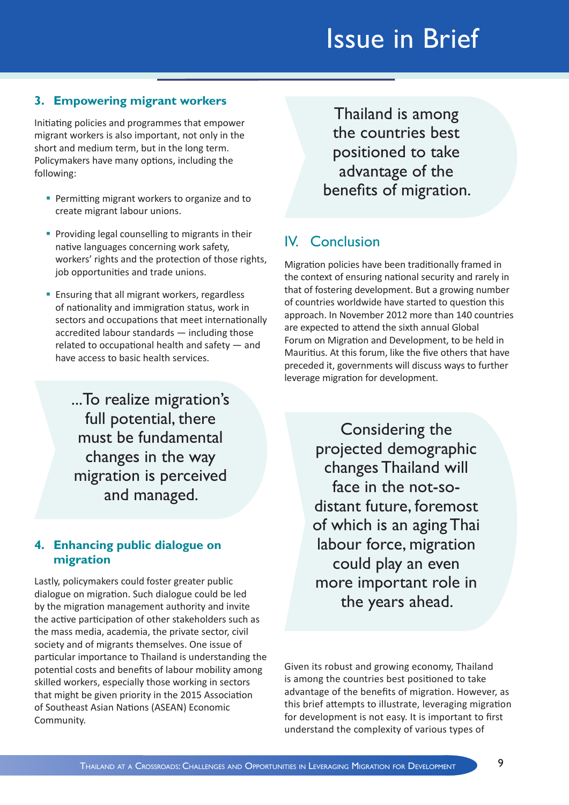## **3. Empowering migrant workers**

Initiating policies and programmes that empower migrant workers is also important, not only in the short and medium term, but in the long term. Policymakers have many options, including the following:

- **Permitting migrant workers to organize and to** create migrant labour unions.
- **Providing legal counselling to migrants in their** native languages concerning work safety, workers' rights and the protection of those rights, job opportunities and trade unions.
- **Ensuring that all migrant workers, regardless** of nationality and immigration status, work in sectors and occupations that meet internationally accredited labour standards — including those related to occupational health and safety — and have access to basic health services.

...To realize migration's full potential, there must be fundamental changes in the way migration is perceived and managed.

#### **4. Enhancing public dialogue on migration**

Lastly, policymakers could foster greater public dialogue on migration. Such dialogue could be led by the migration management authority and invite the active participation of other stakeholders such as the mass media, academia, the private sector, civil society and of migrants themselves. One issue of particular importance to Thailand is understanding the potential costs and benefits of labour mobility among skilled workers, especially those working in sectors that might be given priority in the 2015 Association of Southeast Asian Nations (ASEAN) Economic Community.

Thailand is among the countries best positioned to take advantage of the benefits of migration.

## IV. Conclusion

Migration policies have been traditionally framed in the context of ensuring national security and rarely in that of fostering development. But a growing number of countries worldwide have started to question this approach. In November 2012 more than 140 countries are expected to attend the sixth annual Global Forum on Migration and Development, to be held in Mauritius. At this forum, like the five others that have preceded it, governments will discuss ways to further leverage migration for development.

> Considering the projected demographic changes Thailand will face in the not-sodistant future, foremost of which is an aging Thai labour force, migration could play an even more important role in the years ahead.

Given its robust and growing economy, Thailand is among the countries best positioned to take advantage of the benefits of migration. However, as this brief attempts to illustrate, leveraging migration for development is not easy. It is important to first understand the complexity of various types of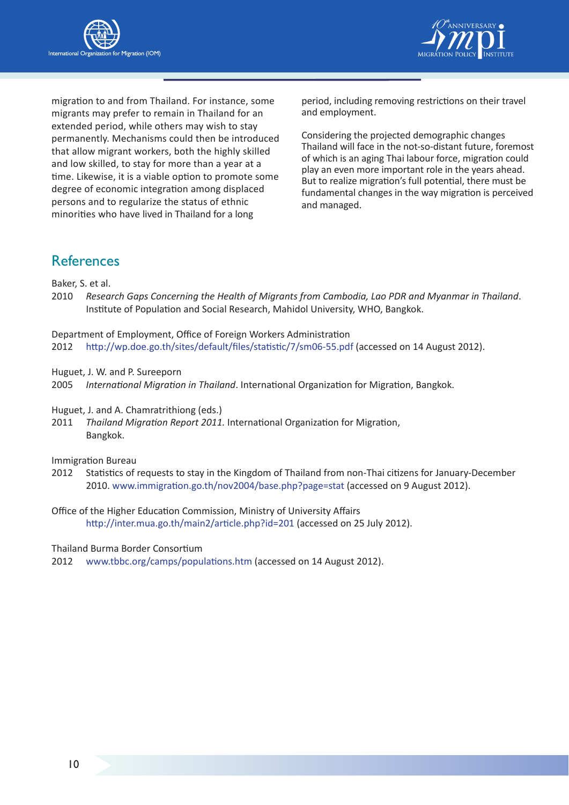



migration to and from Thailand. For instance, some migrants may prefer to remain in Thailand for an extended period, while others may wish to stay permanently. Mechanisms could then be introduced that allow migrant workers, both the highly skilled and low skilled, to stay for more than a year at a time. Likewise, it is a viable option to promote some degree of economic integration among displaced persons and to regularize the status of ethnic minorities who have lived in Thailand for a long

period, including removing restrictions on their travel and employment.

Considering the projected demographic changes Thailand will face in the not-so-distant future, foremost of which is an aging Thai labour force, migration could play an even more important role in the years ahead. But to realize migration's full potential, there must be fundamental changes in the way migration is perceived and managed.

## References

Baker, S. et al.

2010 *Research Gaps Concerning the Health of Migrants from Cambodia, Lao PDR and Myanmar in Thailand*. Institute of Population and Social Research, Mahidol University, WHO, Bangkok.

Department of Employment, Office of Foreign Workers Administration

2012 <http://wp.doe.go.th/sites/default/files/statistic/7/sm06-55.pdf>(accessed on 14 August 2012).

Huguet, J. W. and P. Sureeporn

2005 *International Migration in Thailand*. International Organization for Migration, Bangkok.

Huguet, J. and A. Chamratrithiong (eds.)

2011 *Thailand Migration Report 2011.* International Organization for Migration, Bangkok.

Immigration Bureau

- 2012 Statistics of requests to stay in the Kingdom of Thailand from non-Thai citizens for January-December 2010. <www.immigration.go.th/nov2004/base.php?page=stat> (accessed on 9 August 2012).
- Office of the Higher Education Commission, Ministry of University Affairs <http://inter.mua.go.th/main2/article.php?id=201> (accessed on 25 July 2012).

Thailand Burma Border Consortium

2012 <www.tbbc.org/camps/populations.htm>(accessed on 14 August 2012).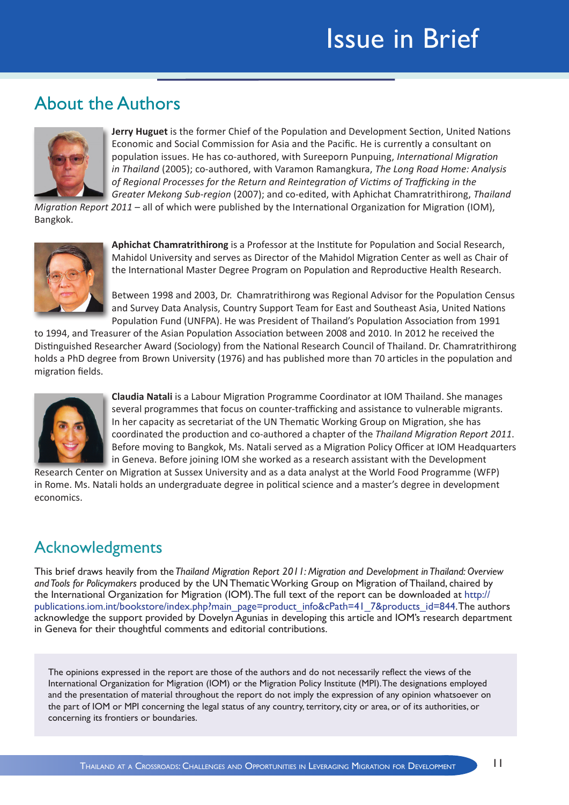# About the Authors



**Jerry Huguet** is the former Chief of the Population and Development Section, United Nations Economic and Social Commission for Asia and the Pacific. He is currently a consultant on population issues. He has co-authored, with Sureeporn Punpuing, *International Migration in Thailand* (2005); co-authored, with Varamon Ramangkura, *The Long Road Home: Analysis of Regional Processes for the Return and Reintegration of Victims of Trafficking in the Greater Mekong Sub-region* (2007); and co-edited, with Aphichat Chamratrithirong, *Thailand* 

*Migration Report 2011* – all of which were published by the International Organization for Migration (IOM), Bangkok.



**Aphichat Chamratrithirong** is a Professor at the Institute for Population and Social Research, Mahidol University and serves as Director of the Mahidol Migration Center as well as Chair of the International Master Degree Program on Population and Reproductive Health Research.

Between 1998 and 2003, Dr. Chamratrithirong was Regional Advisor for the Population Census and Survey Data Analysis, Country Support Team for East and Southeast Asia, United Nations Population Fund (UNFPA). He was President of Thailand's Population Association from 1991

to 1994, and Treasurer of the Asian Population Association between 2008 and 2010. In 2012 he received the Distinguished Researcher Award (Sociology) from the National Research Council of Thailand. Dr. Chamratrithirong holds a PhD degree from Brown University (1976) and has published more than 70 articles in the population and migration fields.



**Claudia Natali** is a Labour Migration Programme Coordinator at IOM Thailand. She manages several programmes that focus on counter-trafficking and assistance to vulnerable migrants. In her capacity as secretariat of the UN Thematic Working Group on Migration, she has coordinated the production and co-authored a chapter of the *Thailand Migration Report 2011*. Before moving to Bangkok, Ms. Natali served as a Migration Policy Officer at IOM Headquarters in Geneva. Before joining IOM she worked as a research assistant with the Development

Research Center on Migration at Sussex University and as a data analyst at the World Food Programme (WFP) in Rome. Ms. Natali holds an undergraduate degree in political science and a master's degree in development economics.

## Acknowledgments

This brief draws heavily from the *Thailand Migration Report 2011: Migration and Development in Thailand: Overview and Tools for Policymakers* produced by the UN Thematic Working Group on Migration of Thailand, chaired by the International Organization for Migration (IOM). The full text of the report can be downloaded at [http://](http://publications.iom.int/bookstore/index.php?main_page=product_info&cPath=41_7&products_id=844) [publications.iom.int/bookstore/index.php?main\\_page=product\\_info&cPath=41\\_7&products\\_id=844.](http://publications.iom.int/bookstore/index.php?main_page=product_info&cPath=41_7&products_id=844) The authors acknowledge the support provided by Dovelyn Agunias in developing this article and IOM's research department in Geneva for their thoughtful comments and editorial contributions.

The opinions expressed in the report are those of the authors and do not necessarily reflect the views of the International Organization for Migration (IOM) or the Migration Policy Institute (MPI). The designations employed and the presentation of material throughout the report do not imply the expression of any opinion whatsoever on the part of IOM or MPI concerning the legal status of any country, territory, city or area, or of its authorities, or concerning its frontiers or boundaries.